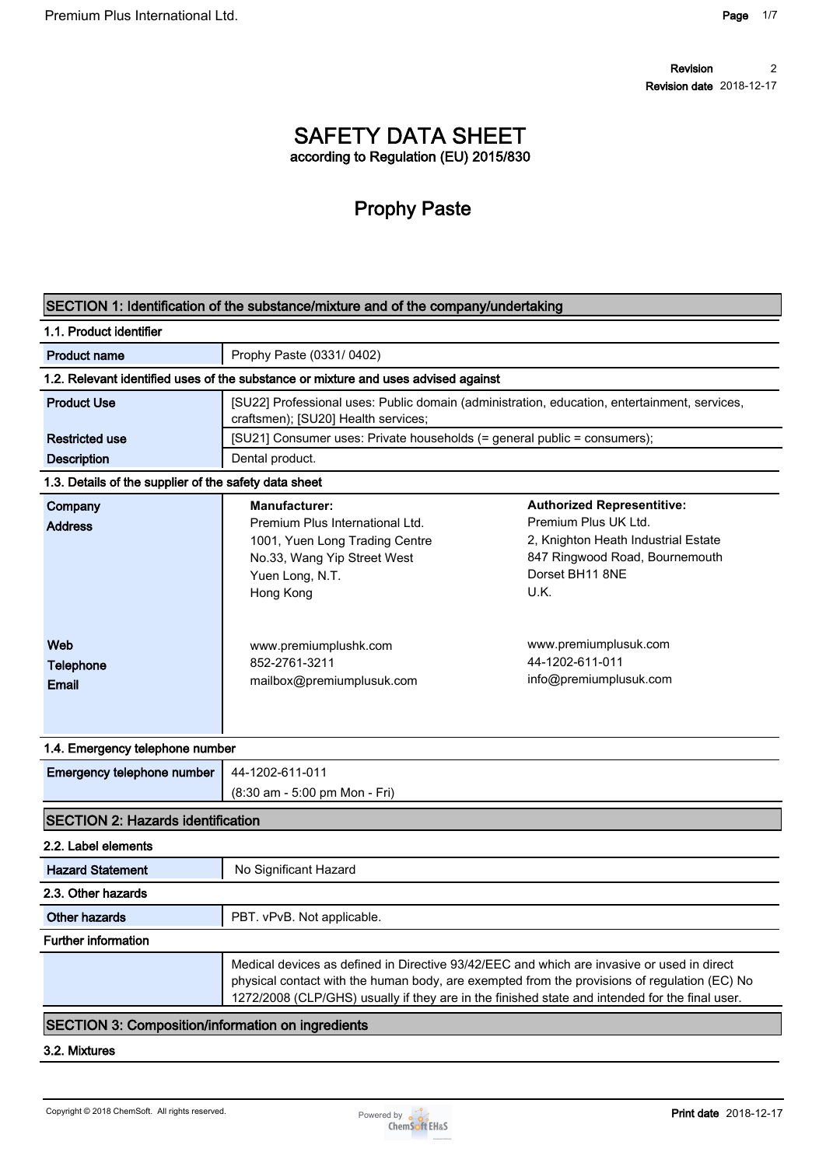## **SAFETY DATA SHEET according to Regulation (EU) 2015/830**

# **Prophy Paste**

| 1.1. Product identifier                               |                                                                                                                                                          |                                                                                                                                                                                                                                                                                              |
|-------------------------------------------------------|----------------------------------------------------------------------------------------------------------------------------------------------------------|----------------------------------------------------------------------------------------------------------------------------------------------------------------------------------------------------------------------------------------------------------------------------------------------|
| <b>Product name</b>                                   | Prophy Paste (0331/0402)                                                                                                                                 |                                                                                                                                                                                                                                                                                              |
|                                                       | 1.2. Relevant identified uses of the substance or mixture and uses advised against                                                                       |                                                                                                                                                                                                                                                                                              |
| <b>Product Use</b>                                    | craftsmen); [SU20] Health services;                                                                                                                      | [SU22] Professional uses: Public domain (administration, education, entertainment, services,                                                                                                                                                                                                 |
| <b>Restricted use</b>                                 | [SU21] Consumer uses: Private households (= general public = consumers);                                                                                 |                                                                                                                                                                                                                                                                                              |
| <b>Description</b>                                    | Dental product.                                                                                                                                          |                                                                                                                                                                                                                                                                                              |
| 1.3. Details of the supplier of the safety data sheet |                                                                                                                                                          |                                                                                                                                                                                                                                                                                              |
| Company<br><b>Address</b>                             | <b>Manufacturer:</b><br>Premium Plus International Ltd.<br>1001, Yuen Long Trading Centre<br>No.33, Wang Yip Street West<br>Yuen Long, N.T.<br>Hong Kong | <b>Authorized Representitive:</b><br>Premium Plus UK Ltd.<br>2, Knighton Heath Industrial Estate<br>847 Ringwood Road, Bournemouth<br>Dorset BH11 8NE<br>U.K.                                                                                                                                |
| Web<br>Telephone<br><b>Email</b>                      | www.premiumplushk.com<br>852-2761-3211<br>mailbox@premiumplusuk.com                                                                                      | www.premiumplusuk.com<br>44-1202-611-011<br>info@premiumplusuk.com                                                                                                                                                                                                                           |
| 1.4. Emergency telephone number                       |                                                                                                                                                          |                                                                                                                                                                                                                                                                                              |
| Emergency telephone number                            | 44-1202-611-011<br>(8:30 am - 5:00 pm Mon - Fri)                                                                                                         |                                                                                                                                                                                                                                                                                              |
| <b>SECTION 2: Hazards identification</b>              |                                                                                                                                                          |                                                                                                                                                                                                                                                                                              |
| 2.2. Label elements                                   |                                                                                                                                                          |                                                                                                                                                                                                                                                                                              |
| <b>Hazard Statement</b>                               | No Significant Hazard                                                                                                                                    |                                                                                                                                                                                                                                                                                              |
| 2.3. Other hazards                                    |                                                                                                                                                          |                                                                                                                                                                                                                                                                                              |
| Other hazards                                         | PBT. vPvB. Not applicable.                                                                                                                               |                                                                                                                                                                                                                                                                                              |
| <b>Further information</b>                            |                                                                                                                                                          |                                                                                                                                                                                                                                                                                              |
|                                                       |                                                                                                                                                          | Medical devices as defined in Directive 93/42/EEC and which are invasive or used in direct<br>physical contact with the human body, are exempted from the provisions of regulation (EC) No<br>1272/2008 (CLP/GHS) usually if they are in the finished state and intended for the final user. |

**3.2. Mixtures**

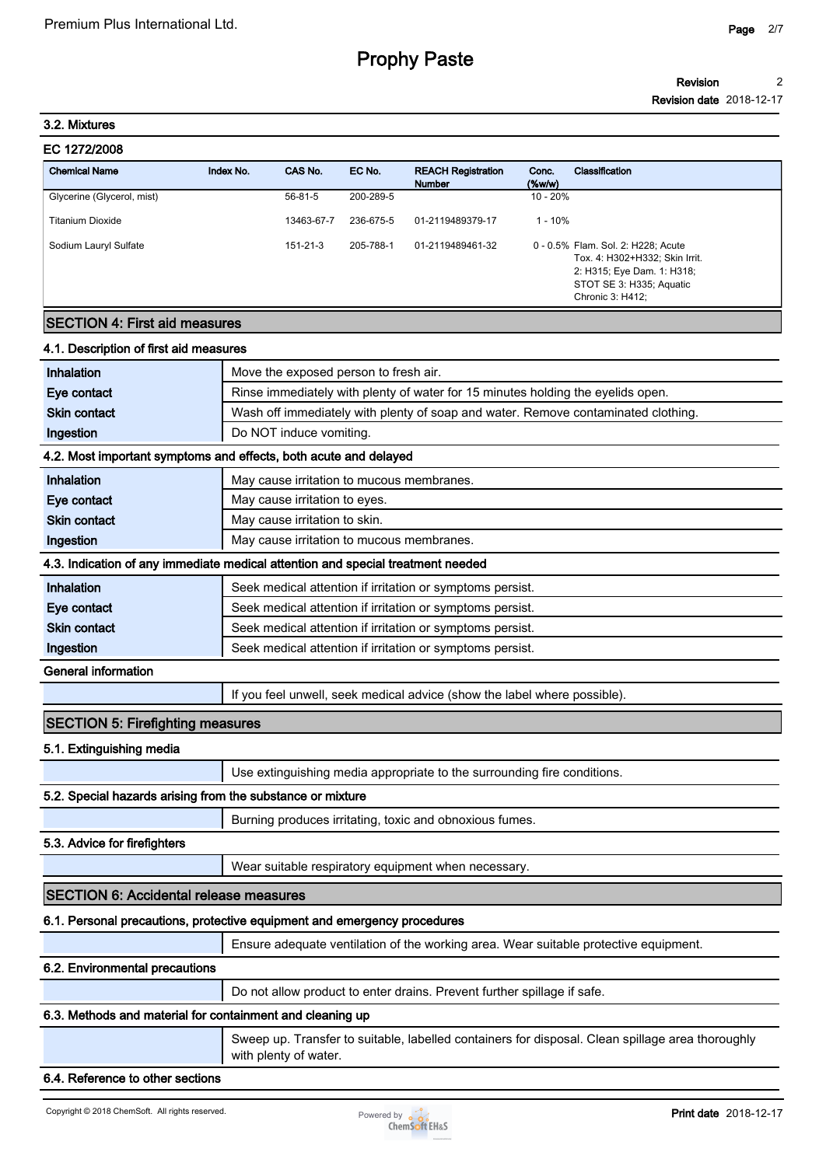#### **Revision 2**

**Revision date 2018-12-17**

#### **3.2. Mixtures**

| Premium Plus International Ltd. |           |               |           |                                            |                    |                                                                                                                                                    | Page | 2/ |
|---------------------------------|-----------|---------------|-----------|--------------------------------------------|--------------------|----------------------------------------------------------------------------------------------------------------------------------------------------|------|----|
|                                 |           |               |           | <b>Prophy Paste</b>                        |                    |                                                                                                                                                    |      |    |
|                                 |           |               |           |                                            |                    | <b>Revision</b>                                                                                                                                    |      |    |
| 3.2. Mixtures                   |           |               |           |                                            |                    | <b>Revision date</b> 2018-12-1                                                                                                                     |      |    |
| EC 1272/2008                    |           |               |           |                                            |                    |                                                                                                                                                    |      |    |
| <b>Chemical Name</b>            | Index No. | CAS No.       | EC No.    | <b>REACH Registration</b><br><b>Number</b> | Conc.<br>$(\%w/w)$ | Classification                                                                                                                                     |      |    |
| Glycerine (Glycerol, mist)      |           | $56 - 81 - 5$ | 200-289-5 |                                            | $10 - 20%$         |                                                                                                                                                    |      |    |
| <b>Titanium Dioxide</b>         |           | 13463-67-7    | 236-675-5 | 01-2119489379-17                           | $1 - 10%$          |                                                                                                                                                    |      |    |
| Sodium Lauryl Sulfate           |           | 151-21-3      | 205-788-1 | 01-2119489461-32                           |                    | 0 - 0.5% Flam. Sol. 2: H228; Acute<br>Tox. 4: H302+H332; Skin Irrit.<br>2: H315; Eye Dam. 1: H318;<br>STOT SE 3: H335; Aquatic<br>Chronic 3: H412; |      |    |
|                                 |           |               |           |                                            |                    |                                                                                                                                                    |      |    |

## **SECTION 4: First aid measures**

#### **4.1. Description of first aid measures**

| Inhalation                                                                      | Move the exposed person to fresh air.                                             |  |  |  |
|---------------------------------------------------------------------------------|-----------------------------------------------------------------------------------|--|--|--|
| Eye contact                                                                     | Rinse immediately with plenty of water for 15 minutes holding the eyelids open.   |  |  |  |
| <b>Skin contact</b>                                                             | Wash off immediately with plenty of soap and water. Remove contaminated clothing. |  |  |  |
| Ingestion                                                                       | Do NOT induce vomiting.                                                           |  |  |  |
| 4.2. Most important symptoms and effects, both acute and delayed                |                                                                                   |  |  |  |
| Inhalation                                                                      | May cause irritation to mucous membranes.                                         |  |  |  |
| Eye contact                                                                     | May cause irritation to eyes.                                                     |  |  |  |
| <b>Skin contact</b>                                                             | May cause irritation to skin.                                                     |  |  |  |
| Ingestion                                                                       | May cause irritation to mucous membranes.                                         |  |  |  |
| 4.3. Indication of any immediate medical attention and special treatment needed |                                                                                   |  |  |  |
| Inhalation                                                                      | Seek medical attention if irritation or symptoms persist.                         |  |  |  |
| Eye contact                                                                     | Seek medical attention if irritation or symptoms persist.                         |  |  |  |
| <b>Skin contact</b>                                                             | Seek medical attention if irritation or symptoms persist.                         |  |  |  |
| Ingestion                                                                       | Seek medical attention if irritation or symptoms persist.                         |  |  |  |
| <b>General information</b>                                                      |                                                                                   |  |  |  |
|                                                                                 | If you feel unwell, seek medical advice (show the label where possible).          |  |  |  |

### **SECTION 5: Firefighting measures**

**5.1. Extinguishing media**

**Use extinguishing media appropriate to the surrounding fire conditions.**

#### **5.2. Special hazards arising from the substance or mixture**

**Burning produces irritating, toxic and obnoxious fumes.**

#### **5.3. Advice for firefighters**

**Wear suitable respiratory equipment when necessary.**

#### **SECTION 6: Accidental release measures**

#### **6.1. Personal precautions, protective equipment and emergency procedures**

**Ensure adequate ventilation of the working area. Wear suitable protective equipment.**

#### **6.2. Environmental precautions**

**Do not allow product to enter drains. Prevent further spillage if safe.**

#### **6.3. Methods and material for containment and cleaning up**

**Sweep up. Transfer to suitable, labelled containers for disposal. Clean spillage area thoroughly with plenty of water.**

#### **6.4. Reference to other sections**

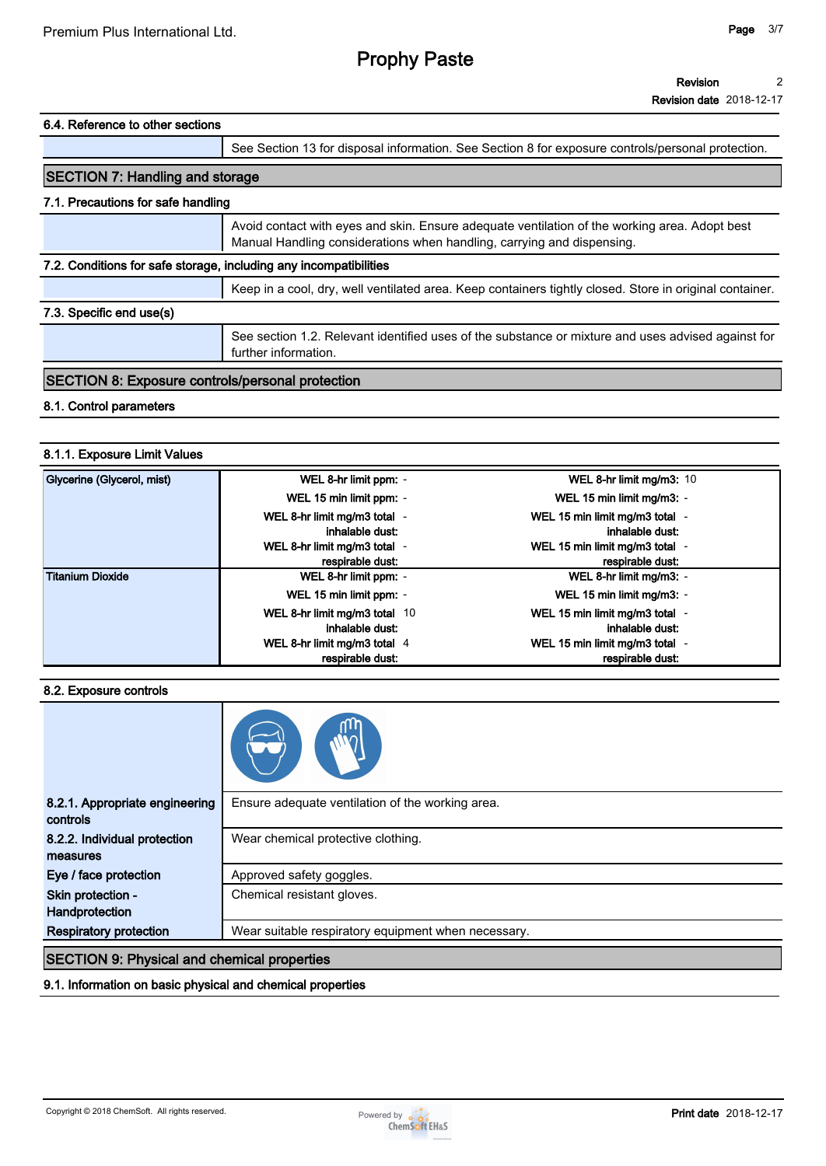#### **Revision 2**

**Revision date 2018-12-17**

#### **6.4. Reference to other sections**

|                                                                                                                            | See Section 13 for disposal information. See Section 8 for exposure controls/personal protection.                                                                       |  |
|----------------------------------------------------------------------------------------------------------------------------|-------------------------------------------------------------------------------------------------------------------------------------------------------------------------|--|
| <b>SECTION 7: Handling and storage</b>                                                                                     |                                                                                                                                                                         |  |
| 7.1. Precautions for safe handling                                                                                         |                                                                                                                                                                         |  |
|                                                                                                                            | Avoid contact with eyes and skin. Ensure adequate ventilation of the working area. Adopt best<br>Manual Handling considerations when handling, carrying and dispensing. |  |
| 7.2. Conditions for safe storage, including any incompatibilities                                                          |                                                                                                                                                                         |  |
|                                                                                                                            | Keep in a cool, dry, well ventilated area. Keep containers tightly closed. Store in original container.                                                                 |  |
| 7.3. Specific end use(s)                                                                                                   |                                                                                                                                                                         |  |
| See section 1.2. Relevant identified uses of the substance or mixture and uses advised against for<br>further information. |                                                                                                                                                                         |  |
| <b>SECTION 8: Exposure controls/personal protection</b>                                                                    |                                                                                                                                                                         |  |

#### **8.1. Control parameters**

#### **8.1.1. Exposure Limit Values**

| Glycerine (Glycerol, mist) | WEL 8-hr limit ppm: -                            | WEL 8-hr limit mg/m3: 10                           |
|----------------------------|--------------------------------------------------|----------------------------------------------------|
|                            | WEL 15 min limit ppm: -                          | WEL 15 min limit mg/m3: -                          |
|                            | WEL 8-hr limit mg/m3 total -<br>inhalable dust:  | WEL 15 min limit mg/m3 total -<br>inhalable dust:  |
|                            | WEL 8-hr limit mg/m3 total -<br>respirable dust: | WEL 15 min limit mg/m3 total -<br>respirable dust: |
| <b>Titanium Dioxide</b>    | WEL 8-hr limit ppm: -                            | WEL 8-hr limit mg/m3: -                            |
|                            | WEL 15 min limit ppm: -                          | WEL 15 min limit mg/m3: -                          |
|                            | WEL 8-hr limit mg/m3 total 10                    | WEL 15 min limit mg/m3 total -                     |
|                            | inhalable dust:                                  | inhalable dust:                                    |
|                            | WEL 8-hr limit mg/m3 total $4$                   | WEL 15 min limit mg/m3 total -                     |
|                            | respirable dust:                                 | respirable dust:                                   |

#### **8.2. Exposure controls**

| 8.2.1. Appropriate engineering                     | Ensure adequate ventilation of the working area.    |  |
|----------------------------------------------------|-----------------------------------------------------|--|
| controls                                           |                                                     |  |
| 8.2.2. Individual protection                       | Wear chemical protective clothing.                  |  |
| measures                                           |                                                     |  |
| Eye / face protection                              | Approved safety goggles.                            |  |
| Skin protection -                                  | Chemical resistant gloves.                          |  |
| Handprotection                                     |                                                     |  |
| <b>Respiratory protection</b>                      | Wear suitable respiratory equipment when necessary. |  |
| <b>SECTION 9: Physical and chemical properties</b> |                                                     |  |

#### **9.1. Information on basic physical and chemical properties**

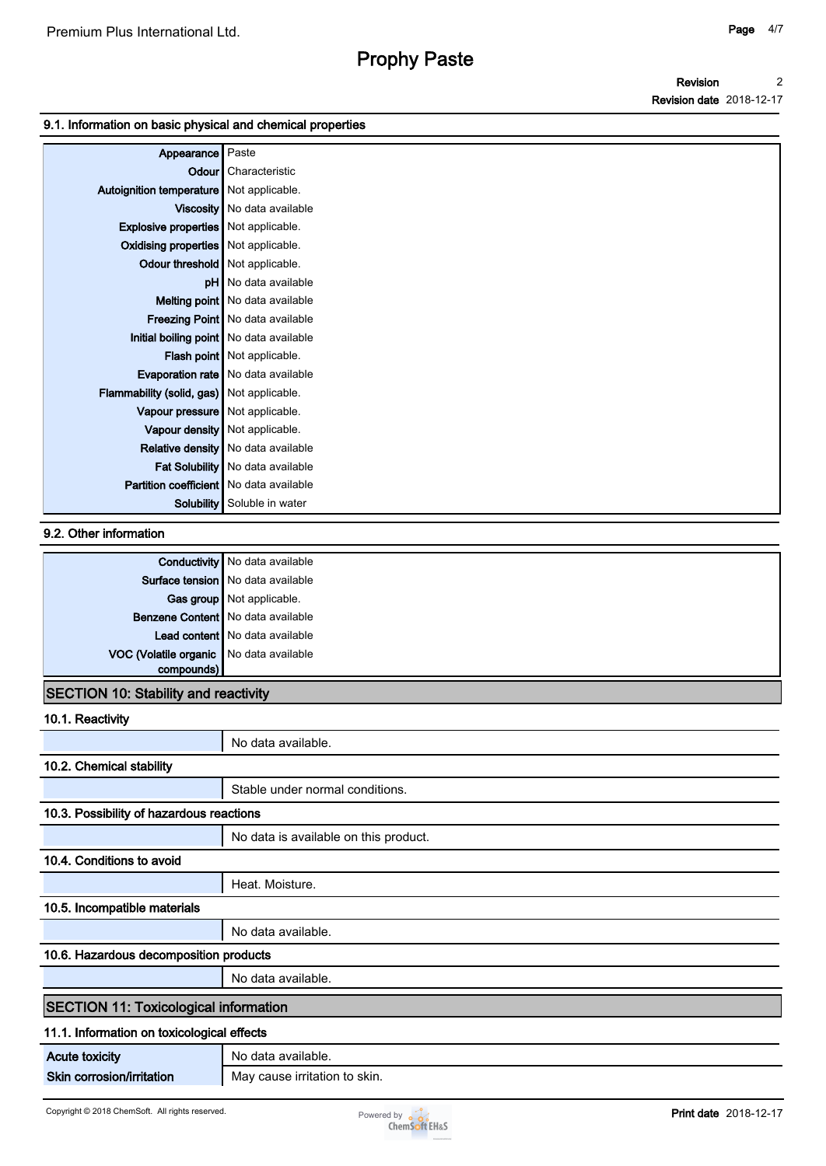#### **Revision Revision date 2018-12-17 2**

#### **9.1. Information on basic physical and chemical properties**

| Appearance   Paste                               |                                           |
|--------------------------------------------------|-------------------------------------------|
| Odour                                            | Characteristic                            |
| Autoignition temperature   Not applicable.       |                                           |
|                                                  | Viscosity   No data available             |
| <b>Explosive properties</b> Not applicable.      |                                           |
| Oxidising properties   Not applicable.           |                                           |
| Odour threshold   Not applicable.                |                                           |
|                                                  | <b>pH</b> No data available               |
|                                                  | Melting point   No data available         |
|                                                  | Freezing Point   No data available        |
|                                                  | Initial boiling point   No data available |
|                                                  | <b>Flash point</b> Not applicable.        |
|                                                  | <b>Evaporation rate</b> No data available |
| <b>Flammability (solid, gas)</b> Not applicable. |                                           |
| Vapour pressure   Not applicable.                |                                           |
|                                                  | Vapour density   Not applicable.          |
|                                                  | <b>Relative density</b> No data available |
|                                                  | Fat Solubility   No data available        |
| <b>Partition coefficient</b> No data available   |                                           |
|                                                  | <b>Solubility</b> Soluble in water        |

### **9.2. Other information**

|                                         | <b>Conductivity</b> No data available |
|-----------------------------------------|---------------------------------------|
|                                         | Surface tension   No data available   |
|                                         | Gas group Not applicable.             |
|                                         | Benzene Content   No data available   |
|                                         | Lead content   No data available      |
| VOC (Volatile organic No data available |                                       |
| compounds)                              |                                       |

### **SECTION 10: Stability and reactivity**

| 10.1. Reactivity                             |                                       |  |
|----------------------------------------------|---------------------------------------|--|
|                                              | No data available.                    |  |
| 10.2. Chemical stability                     |                                       |  |
|                                              | Stable under normal conditions.       |  |
| 10.3. Possibility of hazardous reactions     |                                       |  |
|                                              | No data is available on this product. |  |
| 10.4. Conditions to avoid                    |                                       |  |
|                                              | Heat. Moisture.                       |  |
| 10.5. Incompatible materials                 |                                       |  |
|                                              | No data available.                    |  |
| 10.6. Hazardous decomposition products       |                                       |  |
|                                              | No data available.                    |  |
| <b>SECTION 11: Toxicological information</b> |                                       |  |
| 11.1. Information on toxicological effects   |                                       |  |
| <b>Acute toxicity</b>                        | No data available.                    |  |
| Skin corrosion/irritation                    | May cause irritation to skin.         |  |

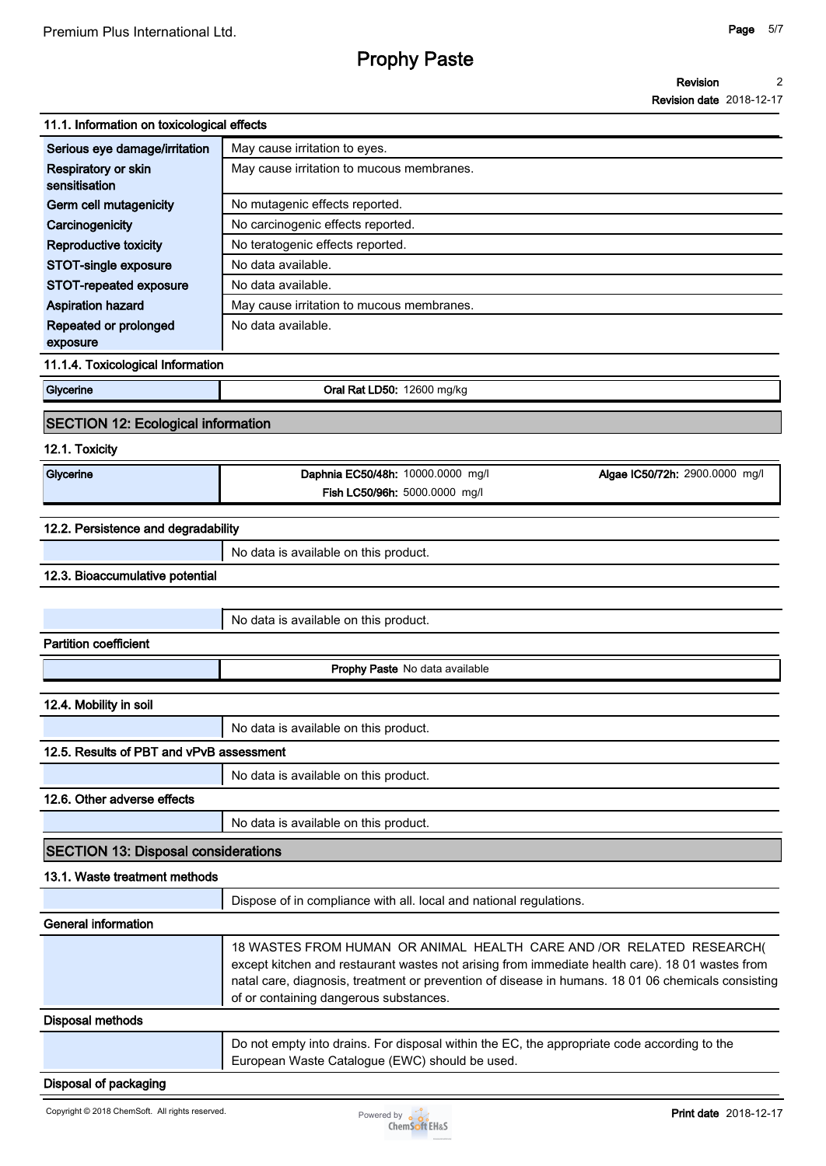#### **Revision 2**

**Revision date 2018-12-17**

| 11.1. Information on toxicological effects |                                                                                                                                                                                                                                                                                                                         |
|--------------------------------------------|-------------------------------------------------------------------------------------------------------------------------------------------------------------------------------------------------------------------------------------------------------------------------------------------------------------------------|
| Serious eye damage/irritation              | May cause irritation to eyes.                                                                                                                                                                                                                                                                                           |
| Respiratory or skin<br>sensitisation       | May cause irritation to mucous membranes.                                                                                                                                                                                                                                                                               |
| Germ cell mutagenicity                     | No mutagenic effects reported.                                                                                                                                                                                                                                                                                          |
| Carcinogenicity                            | No carcinogenic effects reported.                                                                                                                                                                                                                                                                                       |
| Reproductive toxicity                      | No teratogenic effects reported.                                                                                                                                                                                                                                                                                        |
| STOT-single exposure                       | No data available.                                                                                                                                                                                                                                                                                                      |
| <b>STOT-repeated exposure</b>              | No data available.                                                                                                                                                                                                                                                                                                      |
| <b>Aspiration hazard</b>                   | May cause irritation to mucous membranes.                                                                                                                                                                                                                                                                               |
| Repeated or prolonged<br>exposure          | No data available.                                                                                                                                                                                                                                                                                                      |
| 11.1.4. Toxicological Information          |                                                                                                                                                                                                                                                                                                                         |
| Glycerine                                  | Oral Rat LD50: 12600 mg/kg                                                                                                                                                                                                                                                                                              |
| <b>SECTION 12: Ecological information</b>  |                                                                                                                                                                                                                                                                                                                         |
| 12.1. Toxicity                             |                                                                                                                                                                                                                                                                                                                         |
| Glycerine                                  | Daphnia EC50/48h: 10000.0000 mg/l<br>Algae IC50/72h: 2900.0000 mg/l                                                                                                                                                                                                                                                     |
|                                            | Fish LC50/96h: 5000.0000 mg/l                                                                                                                                                                                                                                                                                           |
| 12.2. Persistence and degradability        |                                                                                                                                                                                                                                                                                                                         |
|                                            | No data is available on this product.                                                                                                                                                                                                                                                                                   |
| 12.3. Bioaccumulative potential            |                                                                                                                                                                                                                                                                                                                         |
|                                            |                                                                                                                                                                                                                                                                                                                         |
|                                            | No data is available on this product.                                                                                                                                                                                                                                                                                   |
| <b>Partition coefficient</b>               |                                                                                                                                                                                                                                                                                                                         |
|                                            | Prophy Paste No data available                                                                                                                                                                                                                                                                                          |
| 12.4. Mobility in soil                     |                                                                                                                                                                                                                                                                                                                         |
|                                            | No data is available on this product.                                                                                                                                                                                                                                                                                   |
| 12.5. Results of PBT and vPvB assessment   |                                                                                                                                                                                                                                                                                                                         |
|                                            | No data is available on this product.                                                                                                                                                                                                                                                                                   |
| 12.6. Other adverse effects                |                                                                                                                                                                                                                                                                                                                         |
|                                            | No data is available on this product.                                                                                                                                                                                                                                                                                   |
| <b>SECTION 13: Disposal considerations</b> |                                                                                                                                                                                                                                                                                                                         |
| 13.1. Waste treatment methods              |                                                                                                                                                                                                                                                                                                                         |
|                                            | Dispose of in compliance with all. local and national regulations.                                                                                                                                                                                                                                                      |
| <b>General information</b>                 |                                                                                                                                                                                                                                                                                                                         |
|                                            | 18 WASTES FROM HUMAN OR ANIMAL HEALTH CARE AND /OR RELATED RESEARCH(<br>except kitchen and restaurant wastes not arising from immediate health care). 18 01 wastes from<br>natal care, diagnosis, treatment or prevention of disease in humans. 18 01 06 chemicals consisting<br>of or containing dangerous substances. |
| <b>Disposal methods</b>                    |                                                                                                                                                                                                                                                                                                                         |
|                                            | Do not empty into drains. For disposal within the EC, the appropriate code according to the<br>European Waste Catalogue (EWC) should be used.                                                                                                                                                                           |

### **Disposal of packaging**

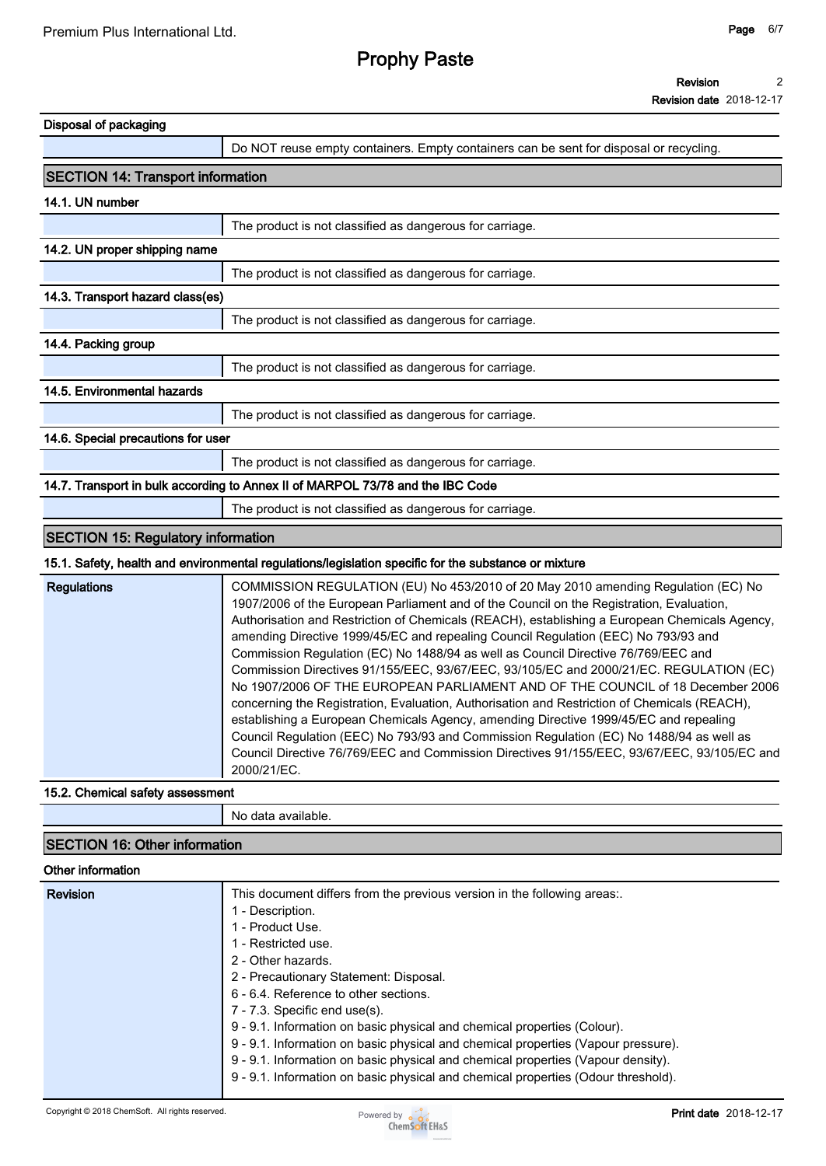#### **Revision 2**

**Revision date 2018-12-17**

| Do NOT reuse empty containers. Empty containers can be sent for disposal or recycling.<br>The product is not classified as dangerous for carriage.<br>The product is not classified as dangerous for carriage.<br>The product is not classified as dangerous for carriage.<br>The product is not classified as dangerous for carriage.                                                                                                                                                                                                                                                                                                                                                                                                                                                                                                                                                                                                                                                                                                  |
|-----------------------------------------------------------------------------------------------------------------------------------------------------------------------------------------------------------------------------------------------------------------------------------------------------------------------------------------------------------------------------------------------------------------------------------------------------------------------------------------------------------------------------------------------------------------------------------------------------------------------------------------------------------------------------------------------------------------------------------------------------------------------------------------------------------------------------------------------------------------------------------------------------------------------------------------------------------------------------------------------------------------------------------------|
|                                                                                                                                                                                                                                                                                                                                                                                                                                                                                                                                                                                                                                                                                                                                                                                                                                                                                                                                                                                                                                         |
|                                                                                                                                                                                                                                                                                                                                                                                                                                                                                                                                                                                                                                                                                                                                                                                                                                                                                                                                                                                                                                         |
|                                                                                                                                                                                                                                                                                                                                                                                                                                                                                                                                                                                                                                                                                                                                                                                                                                                                                                                                                                                                                                         |
|                                                                                                                                                                                                                                                                                                                                                                                                                                                                                                                                                                                                                                                                                                                                                                                                                                                                                                                                                                                                                                         |
|                                                                                                                                                                                                                                                                                                                                                                                                                                                                                                                                                                                                                                                                                                                                                                                                                                                                                                                                                                                                                                         |
|                                                                                                                                                                                                                                                                                                                                                                                                                                                                                                                                                                                                                                                                                                                                                                                                                                                                                                                                                                                                                                         |
|                                                                                                                                                                                                                                                                                                                                                                                                                                                                                                                                                                                                                                                                                                                                                                                                                                                                                                                                                                                                                                         |
|                                                                                                                                                                                                                                                                                                                                                                                                                                                                                                                                                                                                                                                                                                                                                                                                                                                                                                                                                                                                                                         |
|                                                                                                                                                                                                                                                                                                                                                                                                                                                                                                                                                                                                                                                                                                                                                                                                                                                                                                                                                                                                                                         |
|                                                                                                                                                                                                                                                                                                                                                                                                                                                                                                                                                                                                                                                                                                                                                                                                                                                                                                                                                                                                                                         |
|                                                                                                                                                                                                                                                                                                                                                                                                                                                                                                                                                                                                                                                                                                                                                                                                                                                                                                                                                                                                                                         |
|                                                                                                                                                                                                                                                                                                                                                                                                                                                                                                                                                                                                                                                                                                                                                                                                                                                                                                                                                                                                                                         |
| The product is not classified as dangerous for carriage.                                                                                                                                                                                                                                                                                                                                                                                                                                                                                                                                                                                                                                                                                                                                                                                                                                                                                                                                                                                |
|                                                                                                                                                                                                                                                                                                                                                                                                                                                                                                                                                                                                                                                                                                                                                                                                                                                                                                                                                                                                                                         |
| The product is not classified as dangerous for carriage.                                                                                                                                                                                                                                                                                                                                                                                                                                                                                                                                                                                                                                                                                                                                                                                                                                                                                                                                                                                |
| 14.7. Transport in bulk according to Annex II of MARPOL 73/78 and the IBC Code                                                                                                                                                                                                                                                                                                                                                                                                                                                                                                                                                                                                                                                                                                                                                                                                                                                                                                                                                          |
| The product is not classified as dangerous for carriage.                                                                                                                                                                                                                                                                                                                                                                                                                                                                                                                                                                                                                                                                                                                                                                                                                                                                                                                                                                                |
|                                                                                                                                                                                                                                                                                                                                                                                                                                                                                                                                                                                                                                                                                                                                                                                                                                                                                                                                                                                                                                         |
| 15.1. Safety, health and environmental regulations/legislation specific for the substance or mixture                                                                                                                                                                                                                                                                                                                                                                                                                                                                                                                                                                                                                                                                                                                                                                                                                                                                                                                                    |
| COMMISSION REGULATION (EU) No 453/2010 of 20 May 2010 amending Regulation (EC) No<br>1907/2006 of the European Parliament and of the Council on the Registration, Evaluation,<br>Authorisation and Restriction of Chemicals (REACH), establishing a European Chemicals Agency,<br>amending Directive 1999/45/EC and repealing Council Regulation (EEC) No 793/93 and<br>Commission Regulation (EC) No 1488/94 as well as Council Directive 76/769/EEC and<br>Commission Directives 91/155/EEC, 93/67/EEC, 93/105/EC and 2000/21/EC. REGULATION (EC)<br>No 1907/2006 OF THE EUROPEAN PARLIAMENT AND OF THE COUNCIL of 18 December 2006<br>concerning the Registration, Evaluation, Authorisation and Restriction of Chemicals (REACH),<br>establishing a European Chemicals Agency, amending Directive 1999/45/EC and repealing<br>Council Regulation (EEC) No 793/93 and Commission Regulation (EC) No 1488/94 as well as<br>Council Directive 76/769/EEC and Commission Directives 91/155/EEC, 93/67/EEC, 93/105/EC and<br>2000/21/EC. |
|                                                                                                                                                                                                                                                                                                                                                                                                                                                                                                                                                                                                                                                                                                                                                                                                                                                                                                                                                                                                                                         |

**No data available.**

### **SECTION 16: Other information**

#### **Other information**

| <b>Revision</b> | This document differs from the previous version in the following areas:.<br>- Description. |
|-----------------|--------------------------------------------------------------------------------------------|
|                 | - Product Use.                                                                             |
|                 | - Restricted use.                                                                          |
|                 | 2 - Other hazards.                                                                         |
|                 | 2 - Precautionary Statement: Disposal.                                                     |
|                 | 6 - 6.4. Reference to other sections.                                                      |
|                 | $7 - 7.3$ . Specific end use(s).                                                           |
|                 | 9 - 9.1. Information on basic physical and chemical properties (Colour).                   |
|                 | 9 - 9.1. Information on basic physical and chemical properties (Vapour pressure).          |
|                 | 9 - 9.1. Information on basic physical and chemical properties (Vapour density).           |
|                 | 9 - 9.1. Information on basic physical and chemical properties (Odour threshold).          |